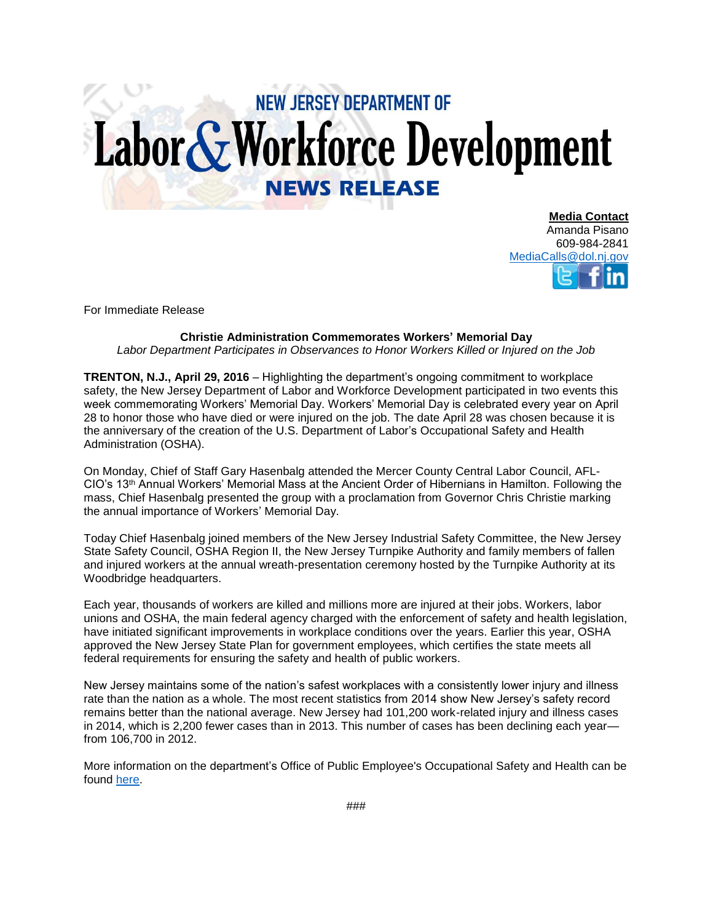## **NEW JERSEY DEPARTMENT OF** Labor & Workforce Development **NEWS RELEASE**

**Media Contact** Amanda Pisano 609-984-2841 [MediaCalls@dol.nj.gov](mailto:MediaCalls@dol.nj.gov)

For Immediate Release

**Christie Administration Commemorates Workers' Memorial Day**

*Labor Department Participates in Observances to Honor Workers Killed or Injured on the Job*

**TRENTON, N.J., April 29, 2016** – Highlighting the department's ongoing commitment to workplace safety, the New Jersey Department of Labor and Workforce Development participated in two events this week commemorating Workers' Memorial Day. Workers' Memorial Day is celebrated every year on April 28 to honor those who have died or were injured on the job. The date April 28 was chosen because it is the anniversary of the creation of the U.S. Department of Labor's Occupational Safety and Health Administration (OSHA).

On Monday, Chief of Staff Gary Hasenbalg attended the Mercer County Central Labor Council, AFL-CIO's 13th Annual Workers' Memorial Mass at the Ancient Order of Hibernians in Hamilton. Following the mass, Chief Hasenbalg presented the group with a proclamation from Governor Chris Christie marking the annual importance of Workers' Memorial Day.

Today Chief Hasenbalg joined members of the New Jersey Industrial Safety Committee, the New Jersey State Safety Council, OSHA Region II, the New Jersey Turnpike Authority and family members of fallen and injured workers at the annual wreath-presentation ceremony hosted by the Turnpike Authority at its Woodbridge headquarters.

Each year, thousands of workers are killed and millions more are injured at their jobs. Workers, labor unions and OSHA, the main federal agency charged with the enforcement of safety and health legislation, have initiated significant improvements in workplace conditions over the years. Earlier this year, OSHA approved the New Jersey State Plan for government employees, which certifies the state meets all federal requirements for ensuring the safety and health of public workers.

New Jersey maintains some of the nation's safest workplaces with a consistently lower injury and illness rate than the nation as a whole. The most recent statistics from 2014 show New Jersey's safety record remains better than the national average. New Jersey had 101,200 work-related injury and illness cases in 2014, which is 2,200 fewer cases than in 2013. This number of cases has been declining each year from 106,700 in 2012.

More information on the department's Office of Public Employee's Occupational Safety and Health can be found [here.](http://lwd.dol.state.nj.us/labor/lsse/employer/Public_Employees_OSH.html)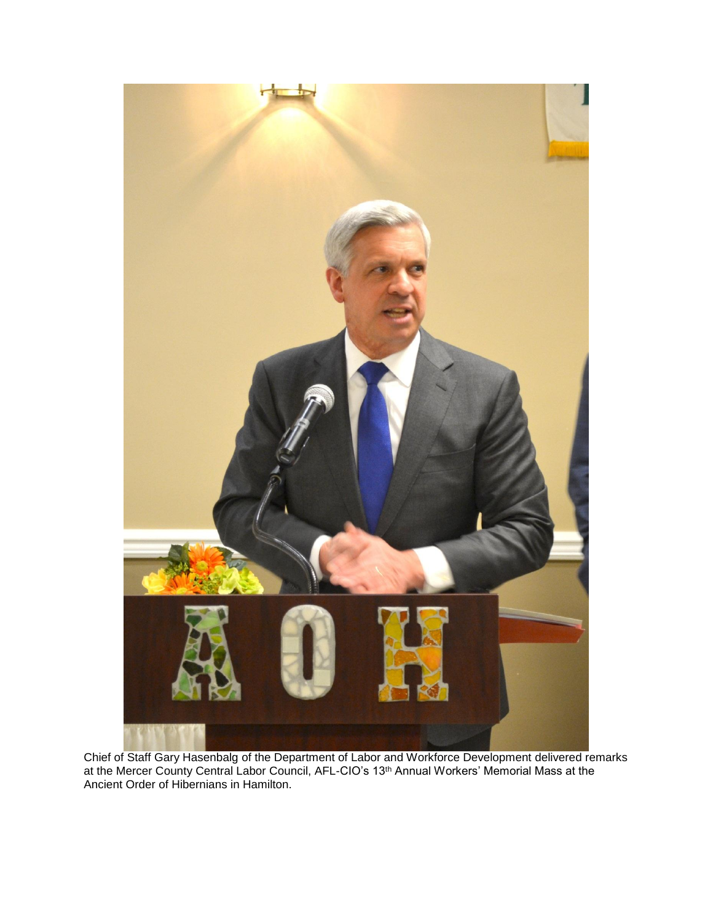

Chief of Staff Gary Hasenbalg of the Department of Labor and Workforce Development delivered remarks at the Mercer County Central Labor Council, AFL-CIO's 13<sup>th</sup> Annual Workers' Memorial Mass at the Ancient Order of Hibernians in Hamilton.